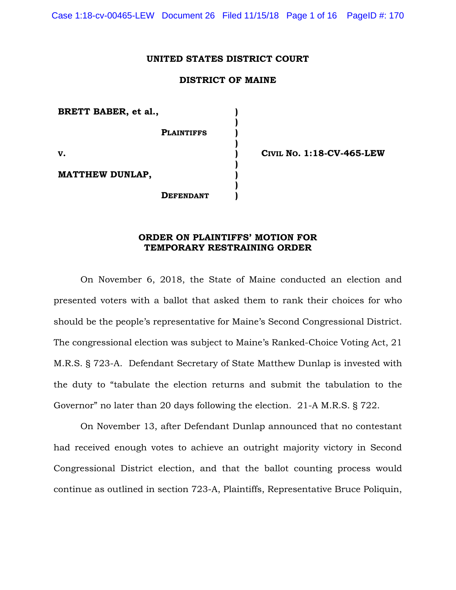Case 1:18-cv-00465-LEW Document 26 Filed 11/15/18 Page 1 of 16 PageID #: 170

### **UNITED STATES DISTRICT COURT**

# **DISTRICT OF MAINE**

**) ) ) ) ) ) ) ) )**

**BRETT BABER, et al.,**

 **PLAINTIFFS**

**V.**

**MATTHEW DUNLAP,** 

 **DEFENDANT**

**CIVIL NO. 1:18-CV-465-LEW**

## **ORDER ON PLAINTIFFS' MOTION FOR TEMPORARY RESTRAINING ORDER**

On November 6, 2018, the State of Maine conducted an election and presented voters with a ballot that asked them to rank their choices for who should be the people's representative for Maine's Second Congressional District. The congressional election was subject to Maine's Ranked-Choice Voting Act, 21 M.R.S. § 723-A. Defendant Secretary of State Matthew Dunlap is invested with the duty to "tabulate the election returns and submit the tabulation to the Governor" no later than 20 days following the election. 21-A M.R.S. § 722.

On November 13, after Defendant Dunlap announced that no contestant had received enough votes to achieve an outright majority victory in Second Congressional District election, and that the ballot counting process would continue as outlined in section 723-A, Plaintiffs, Representative Bruce Poliquin,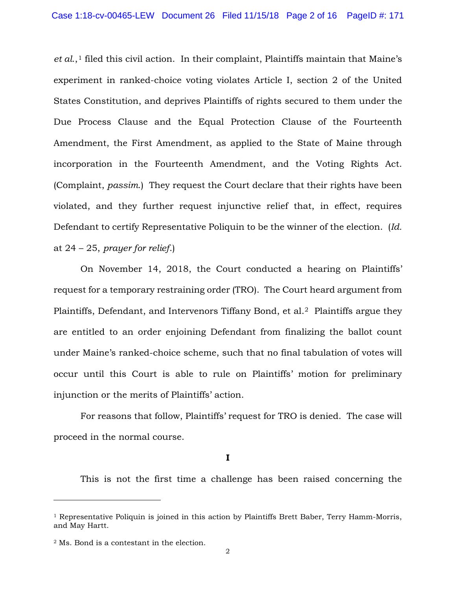*et al.*,<sup>[1](#page-1-0)</sup> filed this civil action. In their complaint, Plaintiffs maintain that Maine's experiment in ranked-choice voting violates Article I, section 2 of the United States Constitution, and deprives Plaintiffs of rights secured to them under the Due Process Clause and the Equal Protection Clause of the Fourteenth Amendment, the First Amendment, as applied to the State of Maine through incorporation in the Fourteenth Amendment, and the Voting Rights Act. (Complaint, *passim*.) They request the Court declare that their rights have been violated, and they further request injunctive relief that, in effect, requires Defendant to certify Representative Poliquin to be the winner of the election. (*Id.* at 24 – 25, *prayer for relief*.)

On November 14, 2018, the Court conducted a hearing on Plaintiffs' request for a temporary restraining order (TRO). The Court heard argument from Plaintiffs, Defendant, and Intervenors Tiffany Bond, et al.[2](#page-1-1) Plaintiffs argue they are entitled to an order enjoining Defendant from finalizing the ballot count under Maine's ranked-choice scheme, such that no final tabulation of votes will occur until this Court is able to rule on Plaintiffs' motion for preliminary injunction or the merits of Plaintiffs' action.

For reasons that follow, Plaintiffs' request for TRO is denied. The case will proceed in the normal course.

#### **I**

This is not the first time a challenge has been raised concerning the

-

<span id="page-1-0"></span><sup>&</sup>lt;sup>1</sup> Representative Poliquin is joined in this action by Plaintiffs Brett Baber, Terry Hamm-Morris, and May Hartt.

<span id="page-1-1"></span><sup>2</sup> Ms. Bond is a contestant in the election.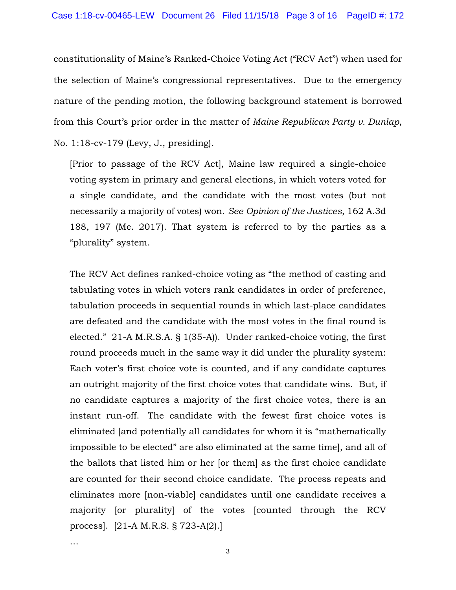constitutionality of Maine's Ranked-Choice Voting Act ("RCV Act") when used for the selection of Maine's congressional representatives. Due to the emergency nature of the pending motion, the following background statement is borrowed from this Court's prior order in the matter of *Maine Republican Party v. Dunlap*, No. 1:18-cv-179 (Levy, J., presiding).

[Prior to passage of the RCV Act], Maine law required a single-choice voting system in primary and general elections, in which voters voted for a single candidate, and the candidate with the most votes (but not necessarily a majority of votes) won. *See Opinion of the Justices*, 162 A.3d 188, 197 (Me. 2017). That system is referred to by the parties as a "plurality" system.

The RCV Act defines ranked-choice voting as "the method of casting and tabulating votes in which voters rank candidates in order of preference, tabulation proceeds in sequential rounds in which last-place candidates are defeated and the candidate with the most votes in the final round is elected." 21-A M.R.S.A. § 1(35-A)). Under ranked-choice voting, the first round proceeds much in the same way it did under the plurality system: Each voter's first choice vote is counted, and if any candidate captures an outright majority of the first choice votes that candidate wins. But, if no candidate captures a majority of the first choice votes, there is an instant run-off. The candidate with the fewest first choice votes is eliminated [and potentially all candidates for whom it is "mathematically impossible to be elected" are also eliminated at the same time], and all of the ballots that listed him or her [or them] as the first choice candidate are counted for their second choice candidate. The process repeats and eliminates more [non-viable] candidates until one candidate receives a majority [or plurality] of the votes [counted through the RCV process]. [21-A M.R.S. § 723-A(2).]

…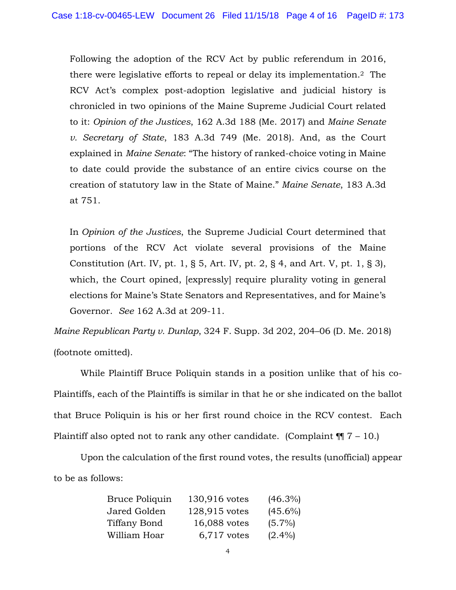Following the adoption of the RCV Act by public referendum in 2016, there were legislative efforts to repeal or delay its implementation.2 The RCV Act's complex post-adoption legislative and judicial history is chronicled in two opinions of the Maine Supreme Judicial Court related to it: *Opinion of the Justices*, 162 A.3d 188 (Me. 2017) and *Maine Senate v. Secretary of State*, 183 A.3d 749 (Me. 2018). And, as the Court explained in *Maine Senate*: "The history of ranked-choice voting in Maine to date could provide the substance of an entire civics course on the creation of statutory law in the State of Maine." *Maine Senate*, 183 A.3d at 751.

In *Opinion of the Justices*, the Supreme Judicial Court determined that portions of the RCV Act violate several provisions of the Maine Constitution (Art. IV, pt. 1, § 5, Art. IV, pt. 2, § 4, and Art. V, pt. 1, § 3), which, the Court opined, [expressly] require plurality voting in general elections for Maine's State Senators and Representatives, and for Maine's Governor. *See* 162 A.3d at 209-11.

*Maine Republican Party v. Dunlap*, 324 F. Supp. 3d 202, 204–06 (D. Me. 2018) (footnote omitted).

While Plaintiff Bruce Poliquin stands in a position unlike that of his co-Plaintiffs, each of the Plaintiffs is similar in that he or she indicated on the ballot that Bruce Poliquin is his or her first round choice in the RCV contest. Each Plaintiff also opted not to rank any other candidate. (Complaint  $\P$  7 – 10.)

Upon the calculation of the first round votes, the results (unofficial) appear to be as follows:

| Bruce Poliquin | 130,916 votes | $(46.3\%)$ |
|----------------|---------------|------------|
| Jared Golden   | 128,915 votes | $(45.6\%)$ |
| Tiffany Bond   | 16,088 votes  | $(5.7\%)$  |
| William Hoar   | $6,717$ votes | $(2.4\%)$  |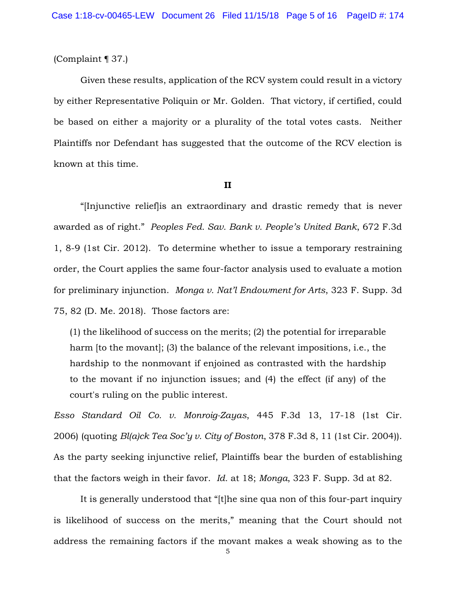# (Complaint ¶ 37.)

Given these results, application of the RCV system could result in a victory by either Representative Poliquin or Mr. Golden. That victory, if certified, could be based on either a majority or a plurality of the total votes casts. Neither Plaintiffs nor Defendant has suggested that the outcome of the RCV election is known at this time.

#### **II**

"[Injunctive relief]is an extraordinary and drastic remedy that is never awarded as of right." *Peoples Fed. Sav. Bank v. People's United Bank*, 672 F.3d 1, 8-9 (1st Cir. 2012). To determine whether to issue a temporary restraining order, the Court applies the same four-factor analysis used to evaluate a motion for preliminary injunction. *Monga v. Nat'l Endowment for Arts*, 323 F. Supp. 3d 75, 82 (D. Me. 2018). Those factors are:

(1) the likelihood of success on the merits; (2) the potential for irreparable harm [to the movant]; (3) the balance of the relevant impositions, i.e., the hardship to the nonmovant if enjoined as contrasted with the hardship to the movant if no injunction issues; and (4) the effect (if any) of the court's ruling on the public interest.

*Esso Standard Oil Co. v. Monroig-Zayas*, 445 F.3d 13, 17-18 (1st Cir. 2006) (quoting *Bl(a)ck Tea Soc'y v. City of Boston*, 378 F.3d 8, 11 (1st Cir. 2004)). As the party seeking injunctive relief, Plaintiffs bear the burden of establishing that the factors weigh in their favor. *Id.* at 18; *Monga*, 323 F. Supp. 3d at 82.

It is generally understood that "[t]he sine qua non of this four-part inquiry is likelihood of success on the merits," meaning that the Court should not address the remaining factors if the movant makes a weak showing as to the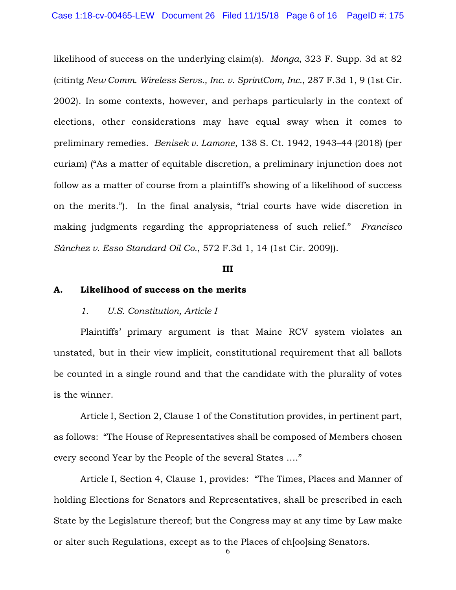likelihood of success on the underlying claim(s). *Monga*, 323 F. Supp. 3d at 82 (citintg *New Comm. Wireless Servs., Inc. v. SprintCom, Inc.*, 287 F.3d 1, 9 (1st Cir. 2002). In some contexts, however, and perhaps particularly in the context of elections, other considerations may have equal sway when it comes to preliminary remedies. *Benisek v. Lamone*, 138 S. Ct. 1942, 1943–44 (2018) (per curiam) ("As a matter of equitable discretion, a preliminary injunction does not follow as a matter of course from a plaintiff's showing of a likelihood of success on the merits."). In the final analysis, "trial courts have wide discretion in making judgments regarding the appropriateness of such relief." *Francisco Sánchez v. Esso Standard Oil Co.*, 572 F.3d 1, 14 (1st Cir. 2009)).

#### **III**

#### **A. Likelihood of success on the merits**

#### *1. U.S. Constitution, Article I*

Plaintiffs' primary argument is that Maine RCV system violates an unstated, but in their view implicit, constitutional requirement that all ballots be counted in a single round and that the candidate with the plurality of votes is the winner.

Article I, Section 2, Clause 1 of the Constitution provides, in pertinent part, as follows: "The House of Representatives shall be composed of Members chosen every second Year by the People of the several States …."

Article I, Section 4, Clause 1, provides: "The Times, Places and Manner of holding Elections for Senators and Representatives, shall be prescribed in each State by the Legislature thereof; but the Congress may at any time by Law make or alter such Regulations, except as to the Places of ch[oo]sing Senators.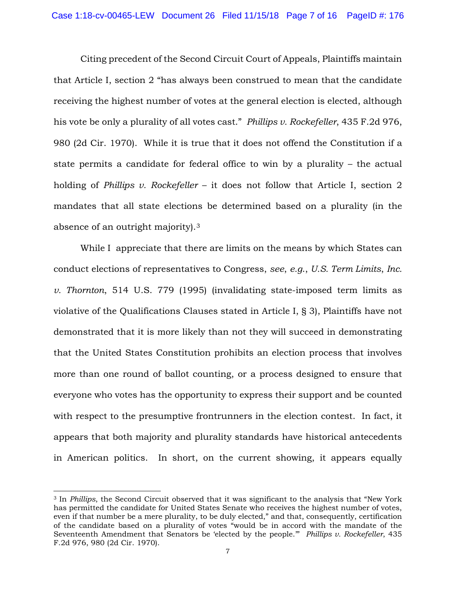Citing precedent of the Second Circuit Court of Appeals, Plaintiffs maintain that Article I, section 2 "has always been construed to mean that the candidate receiving the highest number of votes at the general election is elected, although his vote be only a plurality of all votes cast." *Phillips v. Rockefeller*, 435 F.2d 976, 980 (2d Cir. 1970). While it is true that it does not offend the Constitution if a state permits a candidate for federal office to win by a plurality – the actual holding of *Phillips v. Rockefeller* – it does not follow that Article I, section 2 mandates that all state elections be determined based on a plurality (in the absence of an outright majority).[3](#page-6-0) 

While I appreciate that there are limits on the means by which States can conduct elections of representatives to Congress, *see*, *e.g*., *U.S. Term Limits*, *Inc. v. Thornton*, 514 U.S. 779 (1995) (invalidating state-imposed term limits as violative of the Qualifications Clauses stated in Article I, § 3), Plaintiffs have not demonstrated that it is more likely than not they will succeed in demonstrating that the United States Constitution prohibits an election process that involves more than one round of ballot counting, or a process designed to ensure that everyone who votes has the opportunity to express their support and be counted with respect to the presumptive frontrunners in the election contest. In fact, it appears that both majority and plurality standards have historical antecedents in American politics. In short, on the current showing, it appears equally

<span id="page-6-0"></span> <sup>3</sup> In *Phillips*, the Second Circuit observed that it was significant to the analysis that "New York has permitted the candidate for United States Senate who receives the highest number of votes, even if that number be a mere plurality, to be duly elected," and that, consequently, certification of the candidate based on a plurality of votes "would be in accord with the mandate of the Seventeenth Amendment that Senators be 'elected by the people.'" *Phillips v. Rockefeller*, 435 F.2d 976, 980 (2d Cir. 1970).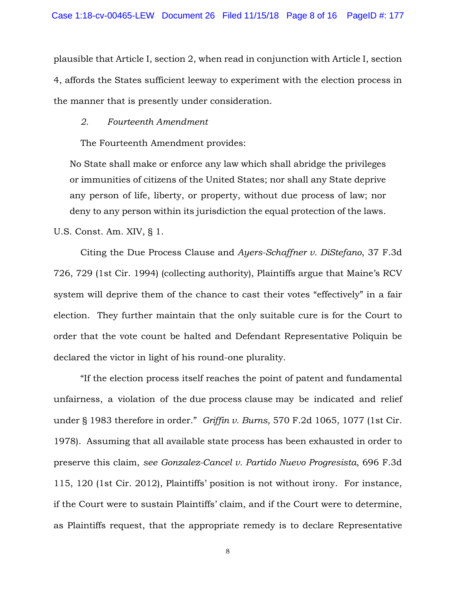plausible that Article I, section 2, when read in conjunction with Article I, section 4, affords the States sufficient leeway to experiment with the election process in the manner that is presently under consideration.

### *2. Fourteenth Amendment*

The Fourteenth Amendment provides:

No State shall make or enforce any law which shall abridge the privileges or immunities of citizens of the United States; nor shall any State deprive any person of life, liberty, or property, without due process of law; nor deny to any person within its jurisdiction the equal protection of the laws.

U.S. Const. Am. XIV, § 1.

Citing the Due Process Clause and *Ayers-Schaffner v. DiStefano*, 37 F.3d 726, 729 (1st Cir. 1994) (collecting authority), Plaintiffs argue that Maine's RCV system will deprive them of the chance to cast their votes "effectively" in a fair election. They further maintain that the only suitable cure is for the Court to order that the vote count be halted and Defendant Representative Poliquin be declared the victor in light of his round-one plurality.

"If the election process itself reaches the point of patent and fundamental unfairness, a violation of the due process clause may be indicated and relief under § 1983 therefore in order." *Griffin v. Burns*, 570 F.2d 1065, 1077 (1st Cir. 1978). Assuming that all available state process has been exhausted in order to preserve this claim, *see Gonzalez-Cancel v. Partido Nuevo Progresista*, 696 F.3d 115, 120 (1st Cir. 2012), Plaintiffs' position is not without irony. For instance, if the Court were to sustain Plaintiffs' claim, and if the Court were to determine, as Plaintiffs request, that the appropriate remedy is to declare Representative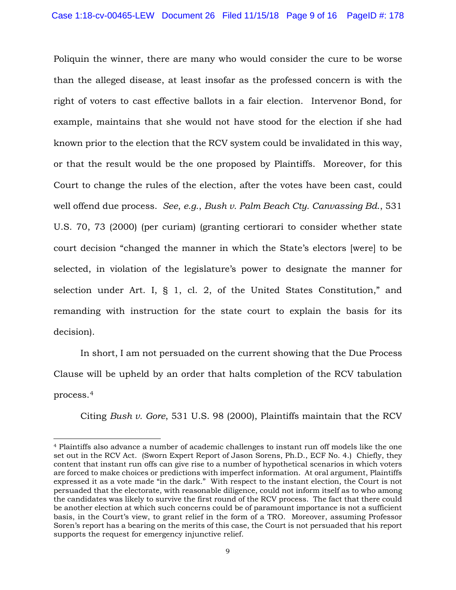Poliquin the winner, there are many who would consider the cure to be worse than the alleged disease, at least insofar as the professed concern is with the right of voters to cast effective ballots in a fair election. Intervenor Bond, for example, maintains that she would not have stood for the election if she had known prior to the election that the RCV system could be invalidated in this way, or that the result would be the one proposed by Plaintiffs. Moreover, for this Court to change the rules of the election, after the votes have been cast, could well offend due process. *See*, *e.g*., *Bush v. Palm Beach Cty. Canvassing Bd*., 531 U.S. 70, 73 (2000) (per curiam) (granting certiorari to consider whether state court decision "changed the manner in which the State's electors [were] to be selected, in violation of the legislature's power to designate the manner for selection under Art. I, § 1, cl. 2, of the United States Constitution," and remanding with instruction for the state court to explain the basis for its decision).

In short, I am not persuaded on the current showing that the Due Process Clause will be upheld by an order that halts completion of the RCV tabulation process.[4](#page-8-0)

Citing *Bush v. Gore*, 531 U.S. 98 (2000), Plaintiffs maintain that the RCV

<span id="page-8-0"></span> <sup>4</sup> Plaintiffs also advance a number of academic challenges to instant run off models like the one set out in the RCV Act. (Sworn Expert Report of Jason Sorens, Ph.D., ECF No. 4.) Chiefly, they content that instant run offs can give rise to a number of hypothetical scenarios in which voters are forced to make choices or predictions with imperfect information. At oral argument, Plaintiffs expressed it as a vote made "in the dark." With respect to the instant election, the Court is not persuaded that the electorate, with reasonable diligence, could not inform itself as to who among the candidates was likely to survive the first round of the RCV process. The fact that there could be another election at which such concerns could be of paramount importance is not a sufficient basis, in the Court's view, to grant relief in the form of a TRO. Moreover, assuming Professor Soren's report has a bearing on the merits of this case, the Court is not persuaded that his report supports the request for emergency injunctive relief.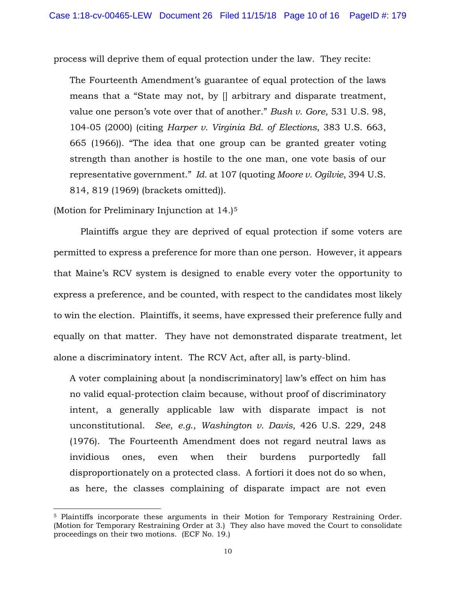process will deprive them of equal protection under the law. They recite:

The Fourteenth Amendment's guarantee of equal protection of the laws means that a "State may not, by [] arbitrary and disparate treatment, value one person's vote over that of another." *Bush v. Gore*, 531 U.S. 98, 104-05 (2000) (citing *Harper v. Virginia Bd. of Elections*, 383 U.S. 663, 665 (1966)). "The idea that one group can be granted greater voting strength than another is hostile to the one man, one vote basis of our representative government." *Id.* at 107 (quoting *Moore v. Ogilvie*, 394 U.S. 814, 819 (1969) (brackets omitted)).

(Motion for Preliminary Injunction at 14.)<sup>[5](#page-9-0)</sup>

Plaintiffs argue they are deprived of equal protection if some voters are permitted to express a preference for more than one person. However, it appears that Maine's RCV system is designed to enable every voter the opportunity to express a preference, and be counted, with respect to the candidates most likely to win the election. Plaintiffs, it seems, have expressed their preference fully and equally on that matter. They have not demonstrated disparate treatment, let alone a discriminatory intent. The RCV Act, after all, is party-blind.

A voter complaining about [a nondiscriminatory] law's effect on him has no valid equal-protection claim because, without proof of discriminatory intent, a generally applicable law with disparate impact is not unconstitutional. *See*, *e.g*., *Washington v. Davis*, 426 U.S. 229, 248 (1976). The Fourteenth Amendment does not regard neutral laws as invidious ones, even when their burdens purportedly fall disproportionately on a protected class. A fortiori it does not do so when, as here, the classes complaining of disparate impact are not even

<span id="page-9-0"></span><sup>&</sup>lt;sup>5</sup> Plaintiffs incorporate these arguments in their Motion for Temporary Restraining Order. (Motion for Temporary Restraining Order at 3.) They also have moved the Court to consolidate proceedings on their two motions. (ECF No. 19.)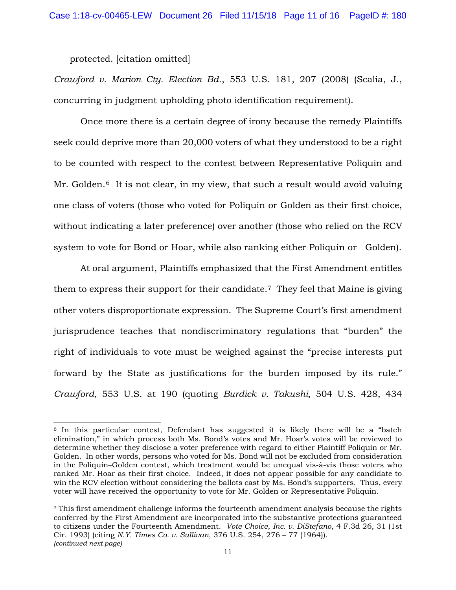protected. [citation omitted]

*Crawford v. Marion Cty. Election Bd*., 553 U.S. 181, 207 (2008) (Scalia, J., concurring in judgment upholding photo identification requirement).

Once more there is a certain degree of irony because the remedy Plaintiffs seek could deprive more than 20,000 voters of what they understood to be a right to be counted with respect to the contest between Representative Poliquin and Mr. Golden.<sup>[6](#page-10-0)</sup> It is not clear, in my view, that such a result would avoid valuing one class of voters (those who voted for Poliquin or Golden as their first choice, without indicating a later preference) over another (those who relied on the RCV system to vote for Bond or Hoar, while also ranking either Poliquin or Golden).

At oral argument, Plaintiffs emphasized that the First Amendment entitles them to express their support for their candidate.[7](#page-10-1) They feel that Maine is giving other voters disproportionate expression. The Supreme Court's first amendment jurisprudence teaches that nondiscriminatory regulations that "burden" the right of individuals to vote must be weighed against the "precise interests put forward by the State as justifications for the burden imposed by its rule." *Crawford*, 553 U.S. at 190 (quoting *Burdick v. Takushi*, 504 U.S. 428, 434

<span id="page-10-0"></span> <sup>6</sup> In this particular contest, Defendant has suggested it is likely there will be a "batch elimination," in which process both Ms. Bond's votes and Mr. Hoar's votes will be reviewed to determine whether they disclose a voter preference with regard to either Plaintiff Poliquin or Mr. Golden. In other words, persons who voted for Ms. Bond will not be excluded from consideration in the Poliquin–Golden contest, which treatment would be unequal vis-à-vis those voters who ranked Mr. Hoar as their first choice. Indeed, it does not appear possible for any candidate to win the RCV election without considering the ballots cast by Ms. Bond's supporters. Thus, every voter will have received the opportunity to vote for Mr. Golden or Representative Poliquin.

<span id="page-10-1"></span><sup>7</sup> This first amendment challenge informs the fourteenth amendment analysis because the rights conferred by the First Amendment are incorporated into the substantive protections guaranteed to citizens under the Fourteenth Amendment. *Vote Choice*, *Inc. v. DiStefano*, 4 F.3d 26, 31 (1st Cir. 1993) (citing *N.Y. Times Co. v. Sullivan*, 376 U.S. 254, 276 – 77 (1964)). *(continued next page)*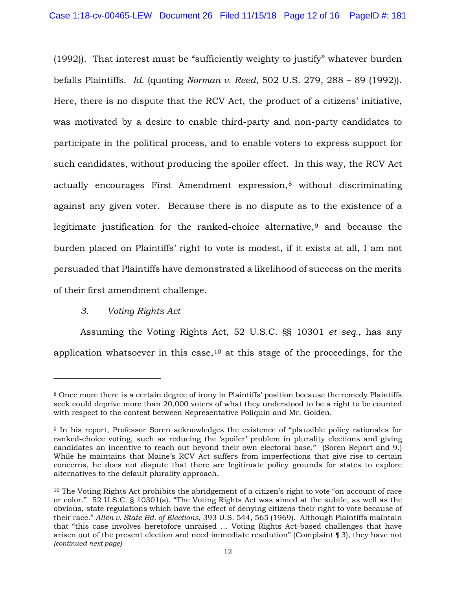(1992)). That interest must be "sufficiently weighty to justify" whatever burden befalls Plaintiffs. *Id.* (quoting *Norman v. Reed*, 502 U.S. 279, 288 – 89 (1992)). Here, there is no dispute that the RCV Act, the product of a citizens' initiative, was motivated by a desire to enable third-party and non-party candidates to participate in the political process, and to enable voters to express support for such candidates, without producing the spoiler effect. In this way, the RCV Act actually encourages First Amendment expression,[8](#page-11-0) without discriminating against any given voter. Because there is no dispute as to the existence of a legitimate justification for the ranked-choice alternative,<sup>[9](#page-11-1)</sup> and because the burden placed on Plaintiffs' right to vote is modest, if it exists at all, I am not persuaded that Plaintiffs have demonstrated a likelihood of success on the merits of their first amendment challenge.

# *3. Voting Rights Act*

-

Assuming the Voting Rights Act, 52 U.S.C. §§ 10301 *et seq.*, has any application whatsoever in this case,  $10$  at this stage of the proceedings, for the

<span id="page-11-0"></span><sup>8</sup> Once more there is a certain degree of irony in Plaintiffs' position because the remedy Plaintiffs seek could deprive more than 20,000 voters of what they understood to be a right to be counted with respect to the contest between Representative Poliquin and Mr. Golden.

<span id="page-11-1"></span><sup>9</sup> In his report, Professor Soren acknowledges the existence of "plausible policy rationales for ranked-choice voting, such as reducing the 'spoiler' problem in plurality elections and giving candidates an incentive to reach out beyond their own electoral base." (Soren Report and 9.) While he maintains that Maine's RCV Act suffers from imperfections that give rise to certain concerns, he does not dispute that there are legitimate policy grounds for states to explore alternatives to the default plurality approach.

<span id="page-11-2"></span><sup>10</sup> The Voting Rights Act prohibits the abridgement of a citizen's right to vote "on account of race or color." 52 U.S.C. § 10301(a). "The Voting Rights Act was aimed at the subtle, as well as the obvious, state regulations which have the effect of denying citizens their right to vote because of their race." *Allen v. State Bd. of Elections*, 393 U.S. 544, 565 (1969). Although Plaintiffs maintain that "this case involves heretofore unraised … Voting Rights Act-based challenges that have arisen out of the present election and need immediate resolution" (Complaint ¶ 3), they have not *(continued next page)*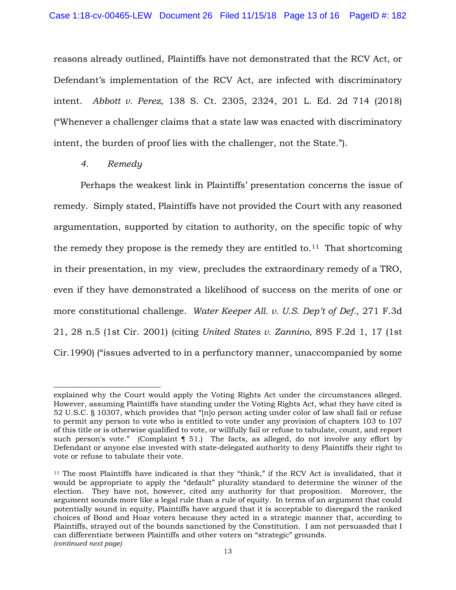reasons already outlined, Plaintiffs have not demonstrated that the RCV Act, or Defendant's implementation of the RCV Act, are infected with discriminatory intent. *Abbott v. Perez*, 138 S. Ct. 2305, 2324, 201 L. Ed. 2d 714 (2018) ("Whenever a challenger claims that a state law was enacted with discriminatory intent, the burden of proof lies with the challenger, not the State.").

*4. Remedy*

Perhaps the weakest link in Plaintiffs' presentation concerns the issue of remedy. Simply stated, Plaintiffs have not provided the Court with any reasoned argumentation, supported by citation to authority, on the specific topic of why the remedy they propose is the remedy they are entitled to.<sup>11</sup> That shortcoming in their presentation, in my view, precludes the extraordinary remedy of a TRO, even if they have demonstrated a likelihood of success on the merits of one or more constitutional challenge. *Water Keeper All. v. U.S. Dep't of Def.*, 271 F.3d 21, 28 n.5 (1st Cir. 2001) (citing *United States v. Zannino*, 895 F.2d 1, 17 (1st Cir.1990) ("issues adverted to in a perfunctory manner, unaccompanied by some

explained why the Court would apply the Voting Rights Act under the circumstances alleged. However, assuming Plaintiffs have standing under the Voting Rights Act, what they have cited is 52 U.S.C. § 10307, which provides that "[n]o person acting under color of law shall fail or refuse to permit any person to vote who is entitled to vote under any provision of chapters 103 to 107 of this title or is otherwise qualified to vote, or willfully fail or refuse to tabulate, count, and report such person's vote." (Complaint  $\P$  51.) The facts, as alleged, do not involve any effort by Defendant or anyone else invested with state-delegated authority to deny Plaintiffs their right to vote or refuse to tabulate their vote.

<span id="page-12-0"></span> $11$  The most Plaintiffs have indicated is that they "think," if the RCV Act is invalidated, that it would be appropriate to apply the "default" plurality standard to determine the winner of the election. They have not, however, cited any authority for that proposition. Moreover, the argument sounds more like a legal rule than a rule of equity. In terms of an argument that could potentially sound in equity, Plaintiffs have argued that it is acceptable to disregard the ranked choices of Bond and Hoar voters because they acted in a strategic manner that, according to Plaintiffs, strayed out of the bounds sanctioned by the Constitution. I am not persuasded that I can differentiate between Plaintiffs and other voters on "strategic" grounds. *(continued next page)*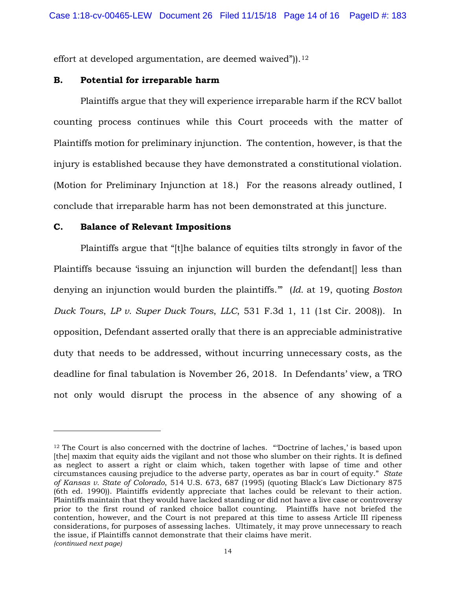effort at developed argumentation, are deemed waived")).<sup>[12](#page-13-0)</sup>

### **B. Potential for irreparable harm**

Plaintiffs argue that they will experience irreparable harm if the RCV ballot counting process continues while this Court proceeds with the matter of Plaintiffs motion for preliminary injunction. The contention, however, is that the injury is established because they have demonstrated a constitutional violation. (Motion for Preliminary Injunction at 18.) For the reasons already outlined, I conclude that irreparable harm has not been demonstrated at this juncture.

### **C. Balance of Relevant Impositions**

Plaintiffs argue that "[t]he balance of equities tilts strongly in favor of the Plaintiffs because 'issuing an injunction will burden the defendant. denying an injunction would burden the plaintiffs.'" (*Id.* at 19, quoting *Boston Duck Tours*, *LP v. Super Duck Tours*, *LLC*, 531 F.3d 1, 11 (1st Cir. 2008)). In opposition, Defendant asserted orally that there is an appreciable administrative duty that needs to be addressed, without incurring unnecessary costs, as the deadline for final tabulation is November 26, 2018. In Defendants' view, a TRO not only would disrupt the process in the absence of any showing of a

<span id="page-13-0"></span> $12$  The Court is also concerned with the doctrine of laches. "Doctrine of laches,' is based upon [the] maxim that equity aids the vigilant and not those who slumber on their rights. It is defined as neglect to assert a right or claim which, taken together with lapse of time and other circumstances causing prejudice to the adverse party, operates as bar in court of equity." *State of Kansas v. State of Colorado*, 514 U.S. 673, 687 (1995) (quoting Black's Law Dictionary 875 (6th ed. 1990)). Plaintiffs evidently appreciate that laches could be relevant to their action. Plaintiffs maintain that they would have lacked standing or did not have a live case or controversy prior to the first round of ranked choice ballot counting. Plaintiffs have not briefed the contention, however, and the Court is not prepared at this time to assess Article III ripeness considerations, for purposes of assessing laches. Ultimately, it may prove unnecessary to reach the issue, if Plaintiffs cannot demonstrate that their claims have merit. *(continued next page)*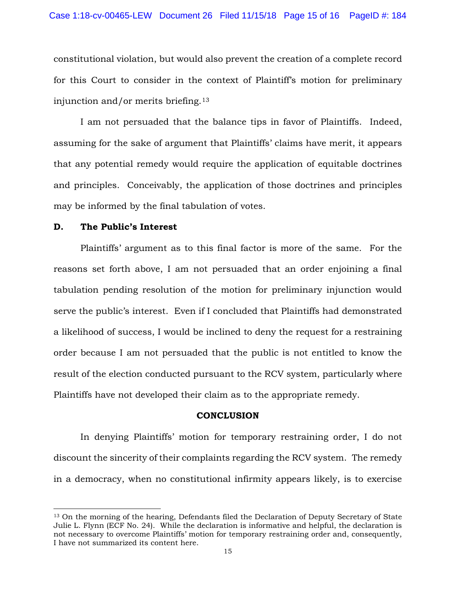constitutional violation, but would also prevent the creation of a complete record for this Court to consider in the context of Plaintiff's motion for preliminary injunction and/or merits briefing.[13](#page-14-0)

I am not persuaded that the balance tips in favor of Plaintiffs. Indeed, assuming for the sake of argument that Plaintiffs' claims have merit, it appears that any potential remedy would require the application of equitable doctrines and principles. Conceivably, the application of those doctrines and principles may be informed by the final tabulation of votes.

### **D. The Public's Interest**

Plaintiffs' argument as to this final factor is more of the same. For the reasons set forth above, I am not persuaded that an order enjoining a final tabulation pending resolution of the motion for preliminary injunction would serve the public's interest. Even if I concluded that Plaintiffs had demonstrated a likelihood of success, I would be inclined to deny the request for a restraining order because I am not persuaded that the public is not entitled to know the result of the election conducted pursuant to the RCV system, particularly where Plaintiffs have not developed their claim as to the appropriate remedy.

#### **CONCLUSION**

In denying Plaintiffs' motion for temporary restraining order, I do not discount the sincerity of their complaints regarding the RCV system. The remedy in a democracy, when no constitutional infirmity appears likely, is to exercise

<span id="page-14-0"></span><sup>&</sup>lt;sup>13</sup> On the morning of the hearing, Defendants filed the Declaration of Deputy Secretary of State Julie L. Flynn (ECF No. 24). While the declaration is informative and helpful, the declaration is not necessary to overcome Plaintiffs' motion for temporary restraining order and, consequently, I have not summarized its content here.